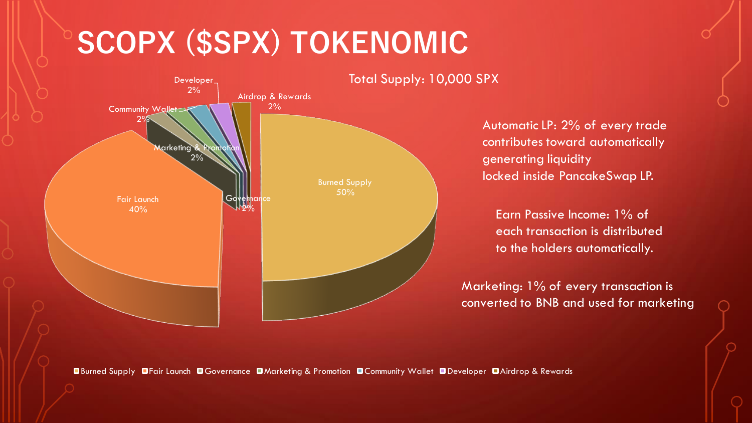# **SCOPX (\$SPX) TOKENOMIC**



Automatic LP: 2% of every trade contributes toward automatically generating liquidity locked inside PancakeSwap LP.

Earn Passive Income: 1% of each transaction is distributed to the holders automatically.

Marketing: 1% of every transaction is converted to BNB and used for marketing

Burned Supply Fair Launch Governance Marketing & Promotion Community Wallet Developer Airdrop & Rewards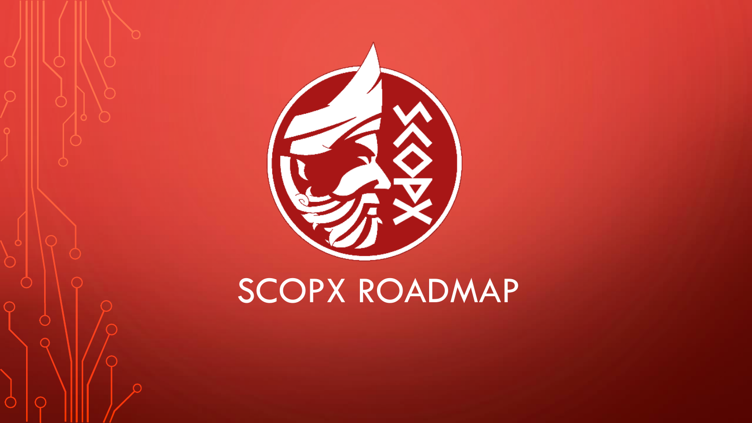

# SCOPX ROADMAP

 $\bigcirc$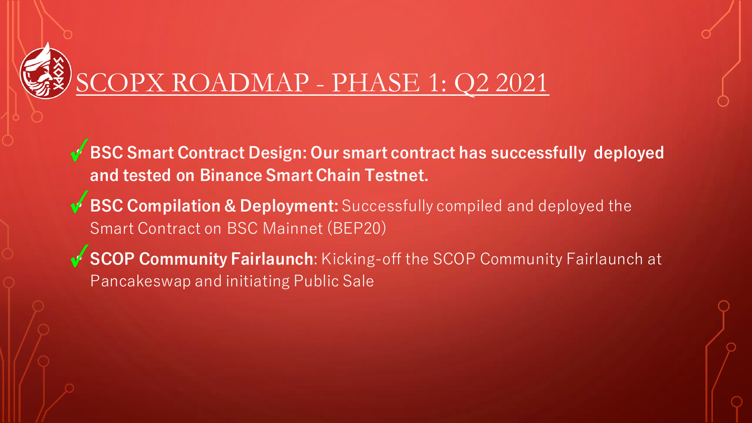

# SCOPX ROADMAP - PHASE 1: Q2 2021

- **BSC Smart Contract Design: Our smart contract has successfully deployed and tested on Binance Smart Chain Testnet.**
- **BSC Compilation & Deployment:** Successfully compiled and deployed the Smart Contract on BSC Mainnet (BEP20)
- **SCOP Community Fairlaunch**: Kicking-off the SCOP Community Fairlaunch at Pancakeswap and initiating Public Sale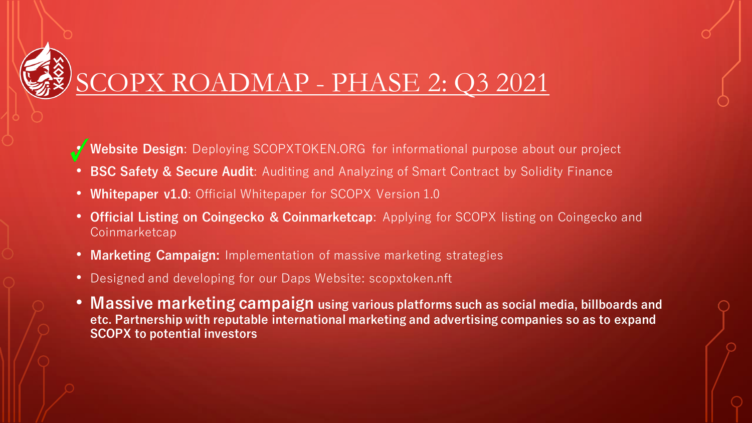

## SCOPX ROADMAP - PHASE 2: Q3 2021

- **Website Design**: Deploying SCOPXTOKEN.ORG for informational purpose about our project
- **BSC Safety & Secure Audit**: Auditing and Analyzing of Smart Contract by Solidity Finance
- **Whitepaper v1.0**: Official Whitepaper for SCOPX Version 1.0
- **Official Listing on Coingecko & Coinmarketcap**: Applying for SCOPX listing on Coingecko and Coinmarketcap
- **Marketing Campaign:** Implementation of massive marketing strategies
- Designed and developing for our Daps Website: scopxtoken.nft
- **Massive marketing campaign using various platforms such as social media, billboards and etc. Partnership with reputable international marketing and advertising companies so as to expand SCOPX to potential investors**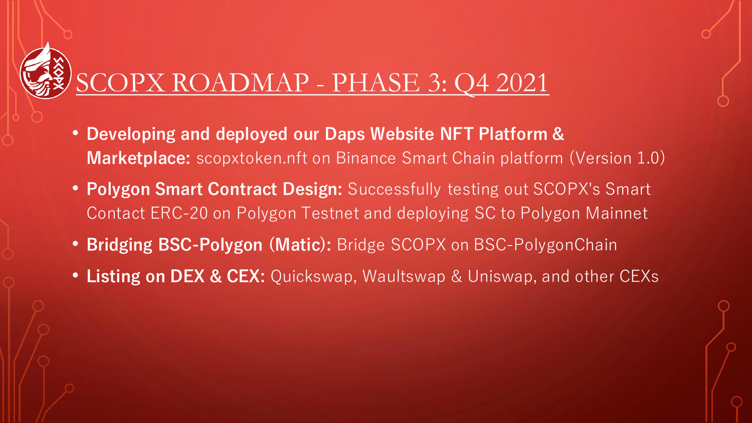#### SCOPX ROADMAP - PHASE 3: Q4 2021

- **Developing and deployed our Daps Website NFT Platform & Marketplace:** scopxtoken.nft on Binance Smart Chain platform (Version 1.0)
- **Polygon Smart Contract Design:** Successfully testing out SCOPX's Smart Contact ERC-20 on Polygon Testnet and deploying SC to Polygon Mainnet
- **Bridging BSC-Polygon (Matic):** Bridge SCOPX on BSC-PolygonChain
- **Listing on DEX & CEX:** Quickswap, Waultswap & Uniswap, and other CEXs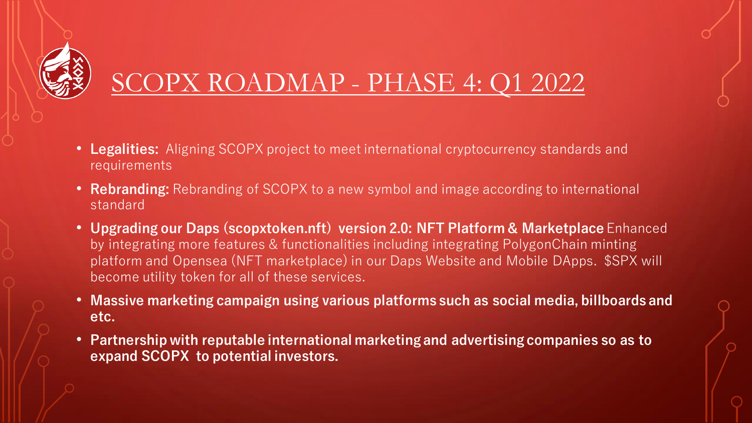

## SCOPX ROADMAP - PHASE 4: Q1 2022

- **Legalities:** Aligning SCOPX project to meet international cryptocurrency standards and requirements
- **Rebranding:** Rebranding of SCOPX to a new symbol and image according to international standard
- **Upgrading our Daps (scopxtoken.nft) version 2.0: NFT Platform & Marketplace** Enhanced by integrating more features & functionalities including integrating PolygonChain minting platform and Opensea (NFT marketplace) in our Daps Website and Mobile DApps. \$SPX will become utility token for all of these services.
- **Massive marketing campaign using various platforms such as social media, billboards and etc.**
- **Partnership with reputable international marketing and advertising companies so as to expand SCOPX to potential investors.**